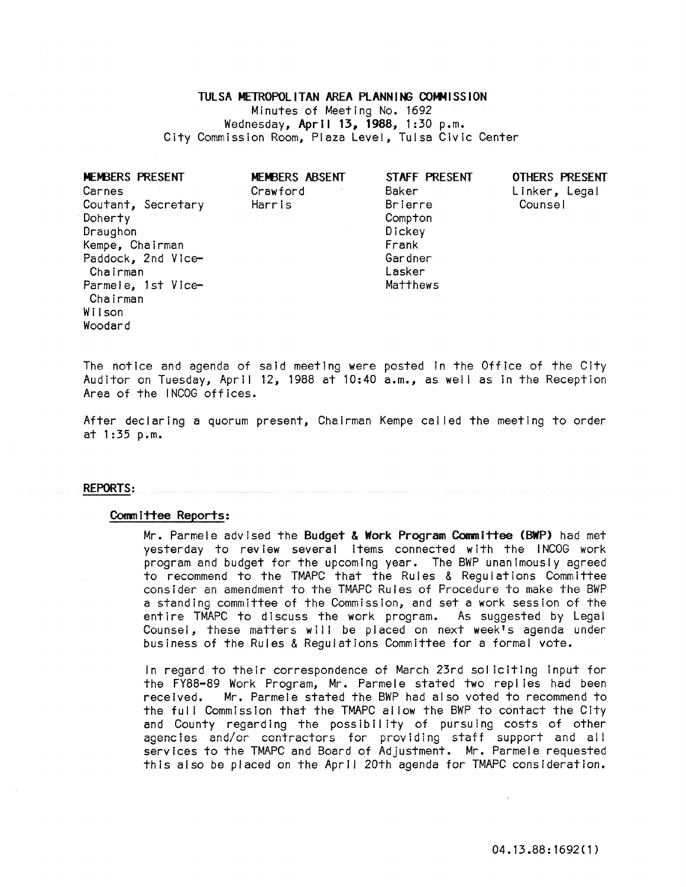TULSA METROPOLITAN AREA PLANNING COMMISSION Minutes of Meeting No. 1692 Wednesday, April 13, 1988, 1:30 p.m. City Commission Room, Plaza Level, Tulsa Civic Center

| MEMBERS PRESENT<br>Carnes<br>Coutant, Secretary | MEMBERS ABSENT<br>Crawford<br>Harris | STAFF PRESENT<br>Baker<br><b>Brierre</b> | <b>OTHERS PRESENT</b><br>Linker, Legal<br>Counsel |
|-------------------------------------------------|--------------------------------------|------------------------------------------|---------------------------------------------------|
| Doherty                                         |                                      | Compton                                  |                                                   |
| Draughon                                        |                                      | Dickey                                   |                                                   |
| Kempe, Chairman                                 |                                      | Frank                                    |                                                   |
| Paddock, 2nd Vice-                              |                                      | Gardner                                  |                                                   |
| Chairman                                        |                                      | Lasker                                   |                                                   |
| Parmele, 1st Vice-                              |                                      | Matthews                                 |                                                   |
| Chairman                                        |                                      |                                          |                                                   |
| Wilson                                          |                                      |                                          |                                                   |
| Woodard                                         |                                      |                                          |                                                   |

The notice and agenda of said meeting were posted In the Office of the City Auditor on Tuesday, April 12, 1988 at 10:40 a.m., as well as in the Reception Area of the INCOG offices.

After declaring a quorum present, Chairman Kempe called the meeting to order at 1:35 p.m.

### REPORTS:

### Committee Reports:

Mr. Parmele advised the Budget & Work Program Committee (BWP) had met yesterday to review several items connected with the INCOG work program and budget for the upcoming year. The BWP unanimously agreed to recommend to the TMAPC that the Rules & Regulations Committee consider an amendment to the TMAPC Rules of Procedure to make the BWP a standing committee of the Commission, and set a work session of the entire TMAPC to discuss the work program. As suggested by Legal Counsel, these matters will be placed on next week's agenda under business of the Rules & Regulations Committee for a formal vote.

In regard to their correspondence of March 23rd soliciting input for the FY88-89 Work Program, Mr. Parmele stated two replies had been received. Mr. Parmele stated the BWP had also voted to recommend to the full Commission that the TMAPC allow the BWP to contact the City and County regarding the possibility of pursuing costs of other agenctes and/or contractors for provIdIng staff support and all services to the TMAPC and Board of Adjustment. Mr. Parmele requested this also be placed on the April 20th agenda for TMAPC consideration.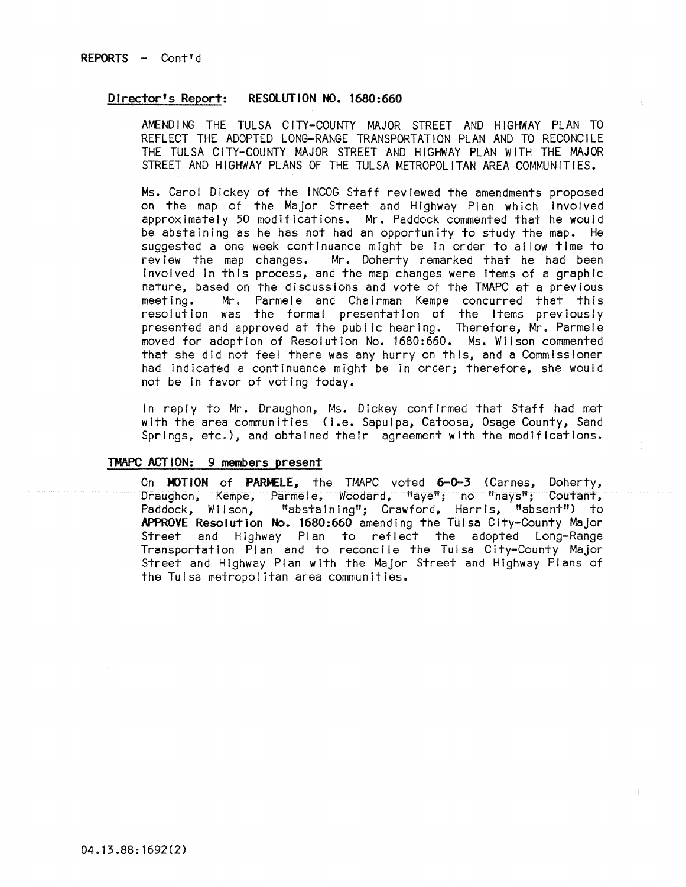## Director's Report: RESOlUTION NO. 1680:660

AMENDING THE TULSA CITY-COUNTY MAJOR STREET AND HIGHWAY PLAN TO REFLECT THE ADOPTED LONG-RANGE TRANSPORTATION PLAN AND TO RECONCILE THE TULSA CITY-COUNTY MAJOR STREET AND HIGHWAY PLAN WITH THE MAJOR STREET AND HIGHWAY PLANS OF THE TULSA METROPOLITAN AREA COMMUNITIES.

Ms. Carol Dickey of the INCOG Staff reviewed the amendments proposed on the map of the Major Street and Highway Plan which involved approximately 50 modifications. Mr. Paddock commented that he would be abstaining as he has not had an opportunity to study the map. He suggested a one week continuance might be in order to al low time to review the map changes. Mr. Doherty remarked that he had been Involved In this process, and the map changes were items of a graphic nature, based on the discussions and vote of the TMAPC at a previous<br>meeting. Mr. Parmele and Chairman Kempe concurred that this Mr. Parmele and Chairman Kempe concurred that this resolution was the formal presentation of the items previously presented and approved at the public hearing. Therefore, Mr. Parmele moved for adoption of Resolution No. 1680:660. Ms. Wilson commented that she did not fee! there was any hurry on this, and a Commissioner had Indicated a continuance might be in order; therefore, she would not be in favor of voting today.

In reply to Mr. Draughon, Ms. Dickey confirmed that Staff had met with the area communities (i.e. Sapulpa, Catoosa, Osage County, Sand Springs, etc.), and obtained their agreement with the modifications.

## TMAPC ACTION: 9 members present

On MOTION of PARMELE. the TMAPC voted 6-0-3 (Carnes, Doherty, Draughon, Kempe, Parmele, Woodard, "aye"; no "nays"; Coutant, Paddock, Wilson, "abstaining"; Crawford, Harris, "absent") to APPROVE Resolution No. 1680:660 amending the Tulsa City-County Major Street and Highway Plan to reflect the adopted Long-Range Transportation Plan and to reconcile the Tulsa City-County Major Street and Highway Plan with the Major Street and Highway Plans of the Tulsa metropolitan area communities.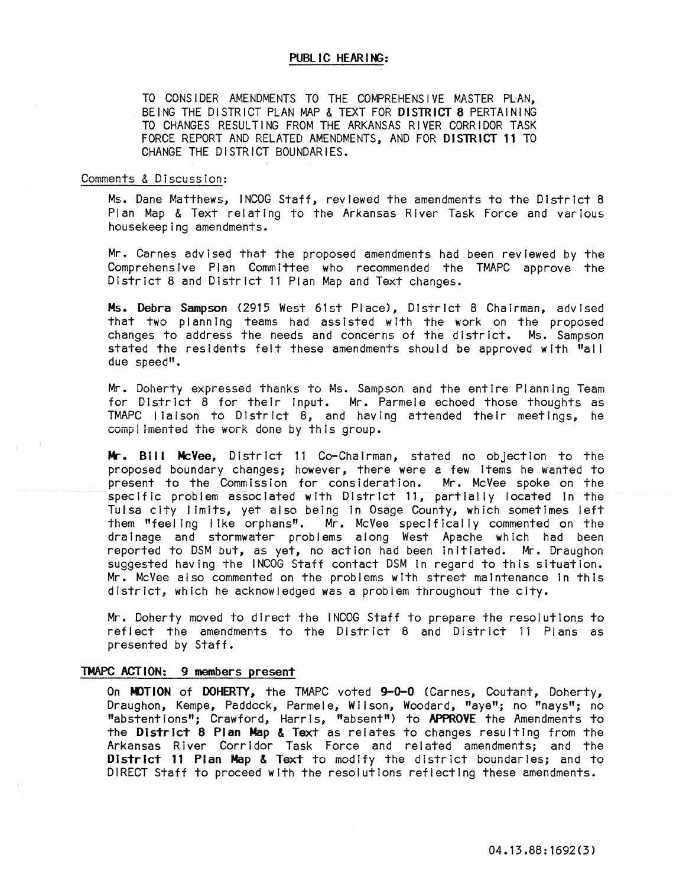## PUBLIC HEARING:

TO CONSIDER AMENDMENTS TO THE COMPREHENSIVE MASTER PLAN, BEING THE DISTRICT PLAN MAP & TEXT FOR DISTRICT 8 PERTAINING TO CHANGES RESULTING FROM THE ARKANSAS RIVER CORRIDOR TASK FORCE REPORT AND RELATED AMENDMENTS, AND FOR DISTRICT 11 TO CHANGE THE DISTRICT BOUNDARIES.

## Comments & Discussion:

Ms. Dane Matthews, INCOG Staff, reviewed the amendments to the District 8 Plan Map & Text relating to the Arkansas River Task Force and various housekeeping amendments.

Mr. Carnes advised that the proposed amendments had been reviewed by the Comprehensive Plan Committee who recommended the TMAPC approve the District 8 and District 11 Plan Map and Text changes.

Ms. Debra Sampson (2915 West 61st Place), District 8 Chairman, advised that two planning teams had assisted with the work on the proposed changes to address the needs and concerns of the district. Ms. Sampson stated the residents felt these amendments should be approved with "all due speed".

Mr. Doherty expressed thanks to Ms. Sampson and the entire Planning Team for District 8 for their input. Mr. Parmele echoed those thoughts as TMAPC liaison to District  $\hat{B}$ , and having attended their meetings, he complimented the work done by this group.

Mr. Bill McVee, District 11 Co-Chairman, stated no objection to the proposed boundary changes; however, there were a few Items he wanted to present to the Commission for consideration. Mr. McVee spoke on the specific problem associated with District 11, partially located In the Tulsa city limits, yet also being In Osage County, which sometimes left them "feeling like orphans". Mr. McVee specifically commented on the drainage and stormwater problems along West Apache which had been reported to DSM but, as yet, no action had been Initiated. Mr. Draughon suggested having the INCOG Staff contact DSM In regard to this situation. Mr. McVee also commented on the problems with street maintenance In this district, which he acknowledged was a problem throughout the city.

Mr. Doherty moved to direct the lNCOG Staff to prepare the resolutions to reflect the amendments to the District 8 and District 11 Plans as presented by Staff.

## TMAPC ACTION: 9 members present

On MOTION of DOHERTY, the TMAPC voted 9-0-0 (Carnes, Coutant, Doherty, Draughon, Kempe, Paddock, Parmele, Wilson, Woodard, "aye"; no "nays"; no "abstentions"; Crawford, Harris, "absent") to APPROVE the Amendments to the District 8 Plan Map & Text as relates to changes resulting from the Arkansas River Corridor Task Force and related amendments; and the District 11 Plan Map & Text to modify the district boundaries; and to DIRECT Staff to proceed with the resolutions reflecting these amendments.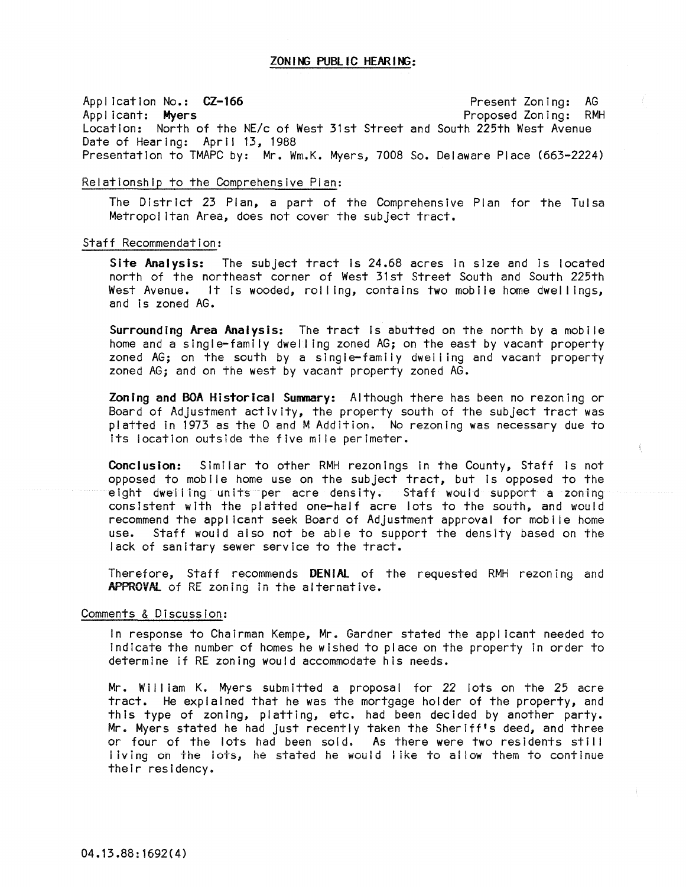Application No.: CZ-166 Applicant: Myers Location: North of the NE/c of West 31st Street and South 225th West Avenue Date of Hearing: April 13, 1988 Present Zoning: AG Proposed Zoning: RMH Presentation to TMAPC by: Mr. Wm.K. Myers, 7008 So. Delaware Place (663-2224)

## Relationship to the Comprehensive Pian:

The District 23 Plan, a part of the Comprehensive Plan for the Tulsa Metropolitan Area, does not cover the subject tract.

## Staff Recommendation:

Site Analysis: The subject tract is 24.68 acres in size and is located north of the northeast corner of West 31st Street South and South 225th West Avenue. It Is wooded, roll lng, contains two mobile home dwellings, and Is zoned AG.

Surrounding Area Analysis: The tract Is abutted on the north by a mobile home and a single-family dwel ling zoned AG; on the east by vacant property zoned  $AG$ ; on the south by a single-family dwelling and vacant property zoned AG; and on the west by vacant property zoned AG.

Zoning and BOA Historical Summary: Although there has been no rezoning or Board of Adjustment activity, the property south of the subject tract was platted In 1973 as the 0 and M Addition. No rezoning was necessary due to Its location outside the five mile perimeter.

Conclusion: Similar to other RMH rezonings in the County, Staff is not opposed to mobile home use on the subject tract, but is opposed to the eight dwelling units per acre density. Staff would support a zoning consistent with the platted one-half acre lots to the south, and would recommend the applicant seek Board of Adjustment approval for mobile home<br>use. Staff would also not be able to support the density based on the Staff would also not be able to support the density based on the lack of sanitary sewer service to the tract.

Therefore, Staff recommends DENIAL of the requested RMH rezoning and APPROVAL of RE zoning In the alternative.

## Comments & Discussion:

In response to Chairman Kempe, Mr. Gardner stated the applicant needed to Indicate the number of homes he wished to place on the property In order to determine If RE zoning would accommodate his needs.

Mr. William K. Myers submitted a proposal for 22 lots on the 25 acre tract. He explained that he was the mortgage holder of the property, and this type of zoning, platting, etc. had been decided by another party. Mr. Myers stated he had just recently taken the Sheriff's deed, and three or four of the lots had been sold. As there were two residents still i iVing on the lots, he stated he would like to allow them to continue their residency.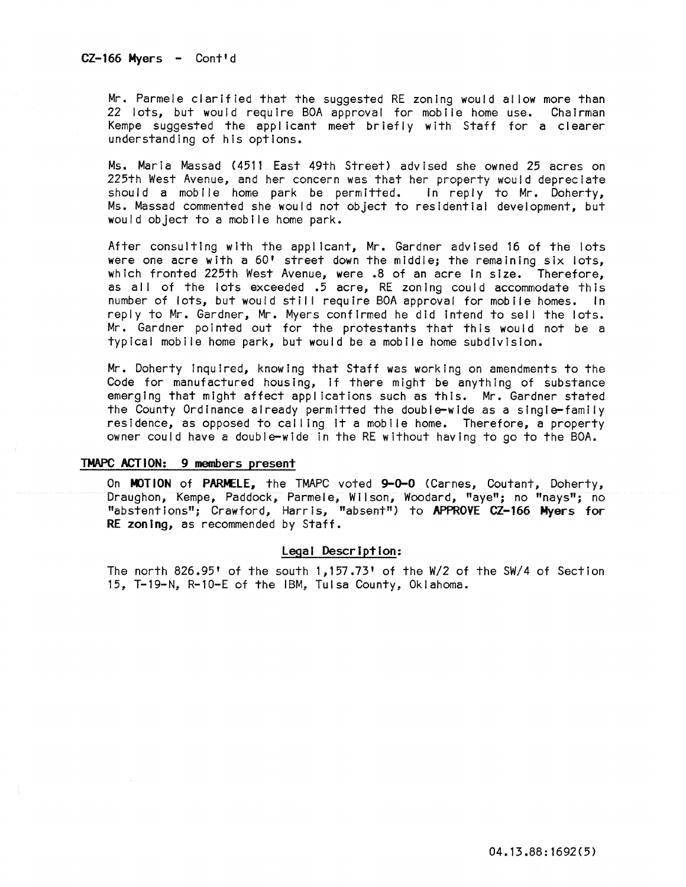Mr. Parmele clarified that the suggested RE zoning would al low more than 22 lots, but would require BOA approval for mobile home use. Chairman Kempe suggested the applicant meet briefly with Staff for a clearer understanding of his options.

Ms. Maria Massad (4511 East 49th Street) advised she owned 25 acres on 225th West Avenue, and her concern was that her property would depreciate should a mobile home park be permitted. In reply to Mr. Doherty, Ms. Massad commented she would not object to residential development, but would object to a mobile home park.

After consulting with the applicant, Mr. Gardner advised 16 of the lots were one acre with a 60' street down the middle; the remaining six lots, which fronted 225th West Avenue, were .8 of an acre In size. Therefore, as all of the lots exceeded .5 acre, RE zoning could accommodate this number of lots, but would still require BOA approval for mobile homes. In reply to Mr. Gardner, Mr. Myers confirmed he did intend to sell the lots. Mr. Gardner pointed out for the protestants that this would not be a typical mobile home park, but would be a mobile home subdivision.

Mr. Doherty Inquired, knowing that Staff was working on amendments to the Code for manufactured housing, If there might be anything of substance emerging that might affect applications such as this. Mr. Gardner stated the County Ordinance already permitted the double-wide as a single-family residence, as opposed to cal ling It a mobile home. Therefore, a property owner could have a double-wide in the RE without having to go to the BOA.

## TMAPC ACTION: 9 members present

On MOTION of PARMELE, the TMAPC voted 9-0-0 (Carnes, Coutant, Doherty, Draughon, Kempe, Paddock, Parmele, Wilson, Woodard, "aye"; no "nays"; no "abstentions"; Crawford, Harris, "absent") to APPROVE CZ-166 Myers for RE zoning, as recommended by Staff.

## Legal Description:

The north 826.95' of the south 1,157.73' of the W/2 of the SW/4 of Section 15, T-19-N, R-l0-E of the IBM, Tulsa County, Oklahoma.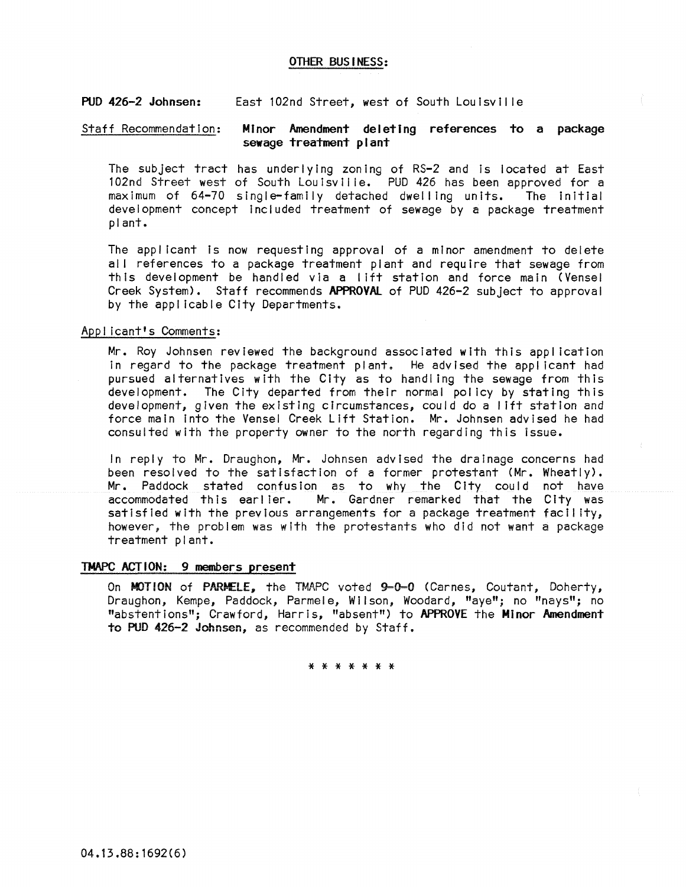## OTHER BUSINESS:

#### PUD 426-2 Johnsen: East 102nd Street, west of South Loulsvll Ie

### Staff Recommendation: Minor Amendment deleting references to a package sewage treatment plant

The subject tract has underlying zoning of RS-2 and is located at East 102nd Street west of South Louisville. PUD 426 has been approved for a<br>maximum of 64-70 single-family detached dwelling units. The initial maximum of 64-70 single-family detached dwelling units. development concept included treatment of sewage by a package treatment plant.

The applicant is now requesting approval of a minor amendment to delete all references to a package treatment plant and require that sewage from this development be handled via a lift station and force main (Vensel Creek System). Staff recommends APPROVAL of PUD 426-2 subject to approval by the applicable City Departments.

# Applicant's Comments:

Mr. Roy Johnsen reviewed the background associated with this aool Icatlon In regard to the package treatment plant. He advised the appl lcant had pursued alternatives with the City as to handling the sewage from this development. The City departed from their normal pol Icy by stating this development, gIven the existing Circumstances, could do a 11ft station and force main Into the Vensel Creek Lift Station. Mr. Johnsen advised he had consulted with the property owner to the north regarding this Issue.

In reply to Mr. Draughon, Mr. Johnsen advised the drainage concerns had been resolved to the satisfaction of a former protestant (Mr. Wheatly). Mr. Paddock stated confusion as to why the City could not have<br>accommodated this earlier. Mr. Gardner remarked that the City was Mr. Gardner remarked that the City was satisfied with the previous arrangements for a package treatment facility, however, the problem was with the protestants who did not want a package treatment plant.

### TMAPC ACTION: 9 members present

On MOTION of PARMELE, the TMAPC voted 9-0-0 (Carnes, Coutant, Doherty, Draughon, Kempe, Paddock, Parmele, Wilson, Woodard, "aye"; no "nays"; no "abstentions"; Crawford, Harris, "absent") to APPROVE the Minor Amendment to PUD 426-2 Johnsen, as recommended by Staff.

\* \* \* \* \* \* \*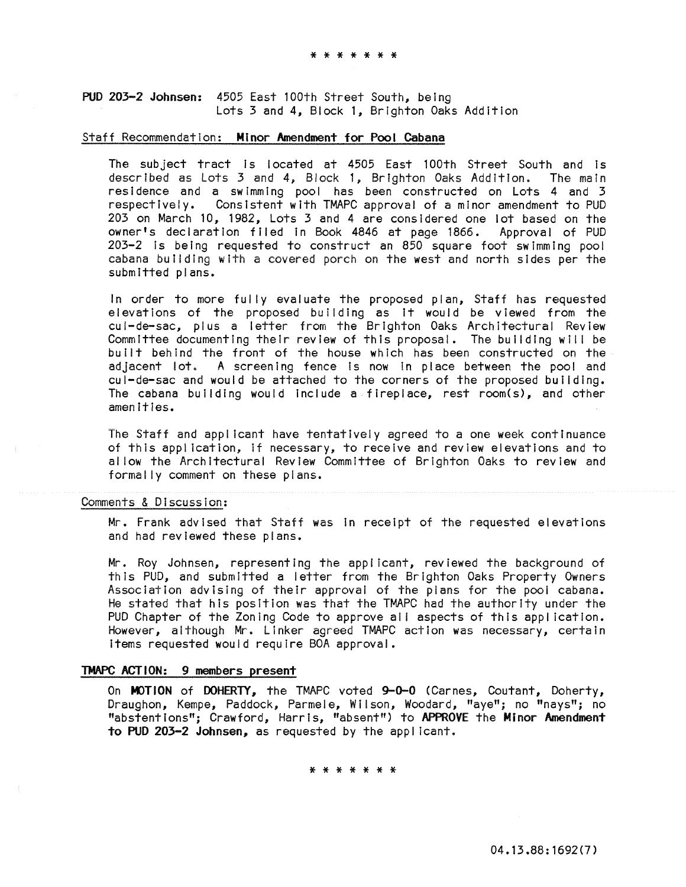PUD 203-2 Johnsen: 4505 East 100th Street South, being Lots 3 and 4, Block 1, Brighton Oaks Addition

### Staff Recommendation: Minor Amendment for Pool Cabana

The subject tract is located at 4505 East 100th Street South and is described as Lots 3 and 4; Block 1, Brighton Oaks Addition. The main residence and a swimming pool has been constructed on Lots 4 and 3 respectively. Consistent with TMAPC approval of a minor amendment to PUD 203 on March 10, 1982, Lots 3 and 4 are considered one lot based on the owner's declaration filed in Book 4846 at page 1866. Approval of PUD  $203-2$  is being requested to construct an 850 square foot swimming pool cabana buiiding with a covered porch on the west and north sides per the submitted plans.

In order to more fully evaluate the proposed plan, Staff has requested elevations of the proposed building as It would be viewed from the cul-de-sac, plus a letter from the Brighton Oaks Architectural Review Committee documenting their review of this proposal. The building will be built behind the front of the house which has been constructed on the adjacent lot. A screening fence is now in place between the pool and cul-de-sac and would be attached to the corners of the proposed building. The cabana building would include a fireplace, rest room(s), and other amenities.

The Staff and applicant have tentatively agreed to a one week continuance of this application, If necessary, to receive and review elevations and to allow the Architectural Review Committee of Brighton Oaks to review and formally comment on these plans.

## Comments & Discussion:

Mr. Frank advised that Staff was In receipt of the requested elevations and had reviewed these plans.

Mr. Roy Johnsen, representing the applicant, reviewed the background of this PUD, and submitted a letter from the Brighton Oaks Property Owners Association advising of their approval of the plans for the pool cabana. He stated that his position was that the TMAPC had the authority under the PUD Chapter of the Zoning Code to approve all aspects of this application. However, although Mr. Linker agreed TMAPC action was necessary, certain Items requested would require BOA approval.

## TMAPC ACTION: 9 members present

On MOTION of DOHERTY, the TMAPC voted 9-0-0 (Carnes, Coutant, Doherty, Draughon, Kempe, Paddock, Parmele, Wilson, Woodard, "aye"; no "nays"; no "abstentions"; Crawford, Harris, "absent") to APPROVE the Minor Amendment to PUD 203-2 Johnsen, as requested by the applicant.

\* \* \* \* \* \* \*

04.13.88:1692(7)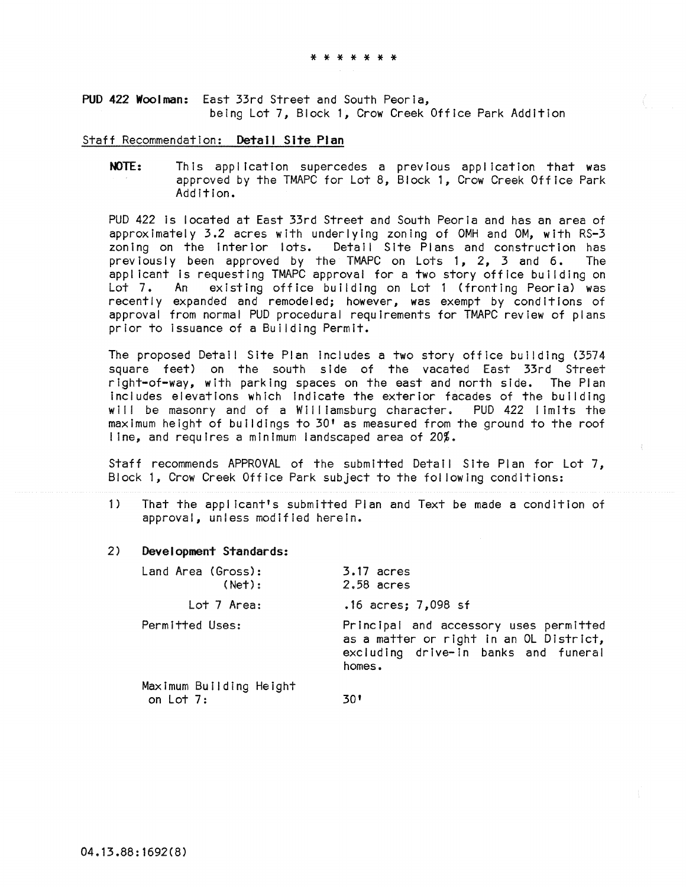PUD 422 Woolman: East 33rd Street and South Peoria, being Lot 7, Block 1, Crow Creek Office Park Addition

### Staff Recommendation: Detail Site Plan

NOTE: This application supercedes a previous application that was approved by the TMAPC for Lot 8, Block 1, Crow Creek Office Park AddItion.

PUD 422 Is located at East 33rd Street and South Peoria and has an area of approximately 3.2 acres with underlying zoning of OMH and OM, with RS-3 zoning on the interior lots. Detail Site Plans and construction has previously been approved by the TMAPC on Lots 1, 2, 3 and 6. The applicant Is requesting TMAPC approval for a two story office building on Lot 7. An existing office building on Lot 1 (fronting Peoria) was recently expanded and remodeled; however, was exempt by conditions of approval from normal PUD procedural requirements for TMAPC review of plans prior to Issuance of a Building Permit.

**The proposed Detai! Site Plan includes a two story office bullding (3574**  square feet) on the south side of the vacated East 33rd Street right-of-way, with parking spaces on the east and north side. The Plan Includes elevations which Indicate the exterior facades of the building will be masonry and of a Williamsburg character. PUD 422 limits the maximum height of buildings to 30' as measured from the ground to the roof line, and requires a minimum landscaped area of 20%.

Staff recommends APPROVAL of the submitted Detail Site Plan for Lot 7, Block 1, Crow Creek Office Park subject to the fol lowing conditions:

1) That the appl icant's submitted Plan and Text be made a condition of approval, unless modified herein.

### 2) Development Standards:

| Land Area (Gross):<br>(Net):           | $3.17$ acres<br>$2.58$ acres                                                                                                        |
|----------------------------------------|-------------------------------------------------------------------------------------------------------------------------------------|
| Lot 7 Area:                            | $.16$ acres; $7,098$ sf                                                                                                             |
| Permitted Uses:                        | Principal and accessory uses permitted<br>as a matter or right in an OL District,<br>excluding drive-in banks and funeral<br>homes. |
| Maximum Building Height<br>on Lot $7:$ | 30'                                                                                                                                 |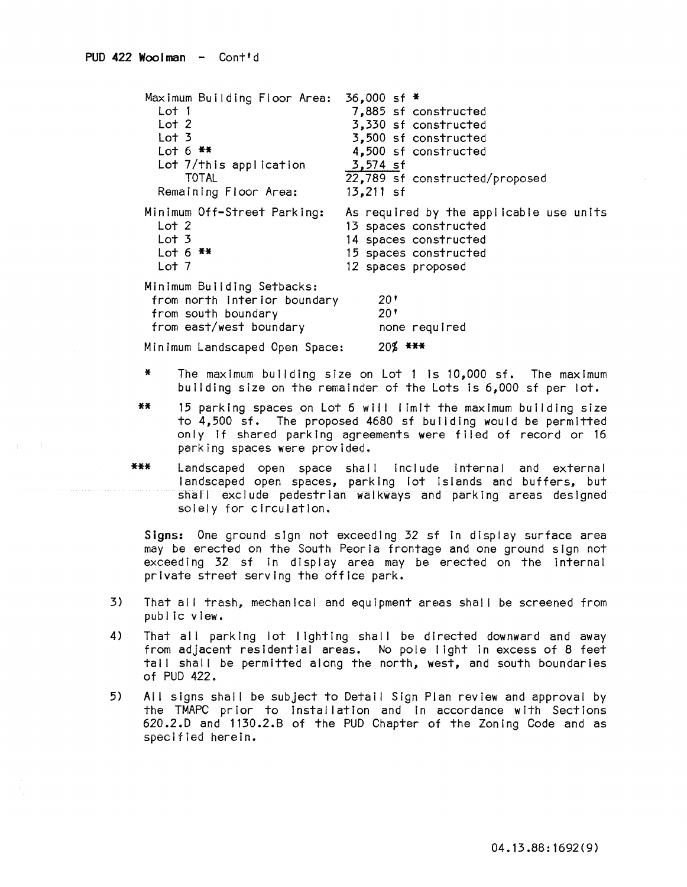| Maximum Building Floor Area:                                                                                 | 36,000 sf *                             |
|--------------------------------------------------------------------------------------------------------------|-----------------------------------------|
| Lot 1                                                                                                        | 7,885 sf constructed                    |
| Lot 2                                                                                                        | 3,330 sf constructed                    |
| Lot <sub>3</sub>                                                                                             | 3,500 sf constructed                    |
| Lot $6$ **                                                                                                   | 4,500 sf constructed                    |
| Lot 7/this application                                                                                       | 3,574 sf                                |
| <b>TOTAL</b>                                                                                                 | 22,789 sf constructed/proposed          |
| Remaining Floor Area:                                                                                        | $13,211$ sf                             |
| Minimum Off-Street Parking:                                                                                  | As required by the applicable use units |
| Lot 2                                                                                                        | 13 spaces constructed                   |
| Lot <sub>3</sub>                                                                                             | 14 spaces constructed                   |
| Lot 6 $**$                                                                                                   | 15 spaces constructed                   |
| Lot 7                                                                                                        | 12 spaces proposed                      |
| Minimum Building Setbacks:<br>from north interior boundary<br>from south boundary<br>from east/west boundary | 20'<br>20 <sup>1</sup><br>none required |
| Minimum Landscaped Open Space:                                                                               | $20\%$ ***                              |

- \* The maximum building size on Lot 1 Is 10,000 sf. The maximum building size on the remainder of the Lots is 6,000 sf per lot.
- **\*\*** 15 parking spaces on Lot 6 wll I limit the maximum building size to 4,500 sf. The proposed 4680 sf building would be permitted only if shared parking agreements were filed of record or 16 parking spaces were provided.
- \*\*\* Landscaped open space shall include internal and external landscaped open spaces, parking lot islands and buffers, but shall exclude pedestrian walkways and parking areas designed solely for circulation.

Signs: One ground sign not exceeding 32 sf In display surface area may be erected on the South Peoria frontage and one ground sign not exceeding 32 sf in display area may be erected on the internal private street serving the office park.

- 3) That al! trash, mechanical and equipment areas sha!! be screened from public view.
- 4) That all parking lot lighting shall be directed downward and away from adjacent residential areas. No pole light In excess of 8 feet tall shall be permitted along the north, west, and south boundaries of PUD 422.
- 5) All signs shall be subject to Detail Sign Plan review and approval by the TMAPC prior to Installation and In accordance with Sections 620.2.0 and 1130.2.B of the PUO Chapter of the Zoning Code and as specified herein.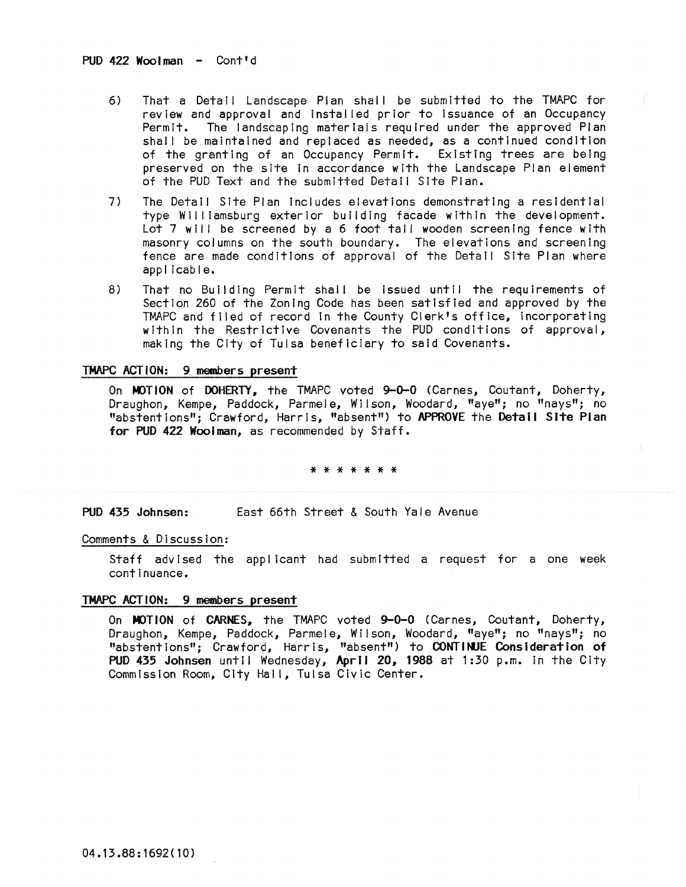- 6) That a Detail Landscape Plan shall be submitted to the TMAPC for review and approval and Installed prior to Issuance of an Occupancy Permit. The landscaping materials required under the approved Plan shall be maintained and replaced as needed, as a continued condition of the granting of an Occupancy Permit. Existing trees are being preserved on the site In accordance with the Landscape Plan element of the PUD Text and the submitted Detail Site Plan.
- 7) The Detail Site Plan includes elevations demonstrating a residential type Williamsburg exterior building facade within the development. Lot 7 will be screened by a 6 foot tall wooden screening fence with masonry columns on the south boundary. The elevations and screening fence are made conditions of approval of the Detail Site Plan where applicable.
- 8) That no Building Permit shall be issued until the requirements of Section 260 of the Zoning Code has been satisfied and approved by the TMAPC and filed of record In the County Clerk's office, incorporating within the Restrictive Covenants the PUD conditions of approval, making the City of Tulsa beneficiary to said Covenants.

## TMAPC ACTION: 9 members present

On MOTION of DOHERTY, the TMAPC voted 9-0-0 (Carnes, Coutant, Doherty, Draughon, Kempe, Paddock, Parmele, Wilson, Woodard, "aye"; no "nays"; no "abstentions"; Crawford, Harris, "absent") to APPROVE the Detail Site Plan for PUD 422 Woolman, as recommended by Staff.

\* \* \* \* \* \* \*

PUD 435 Johnsen: East 66th Street & South Yale Avenue

## Comments & Discussion:

Staff advised the applicant had submitted a request for a one week continuance.

### TMAPC ACTION: 9 members present

On MOTION of CARNES, the TMAPC voted 9-0-0 (Carnes, Coutant, Doherty, Draughon, Kempe, Paddock, Parmele, Wilson, Woodard, "aye"; no "nays"; no "abstentions"; Crawford, Harris, "absent") to CONTINUE Consideration of PUD 435 Johnsen until Wednesday, April 20, 1988 at 1:30 p.m. in the City Commission Room, City Hall, Tulsa Civic Center.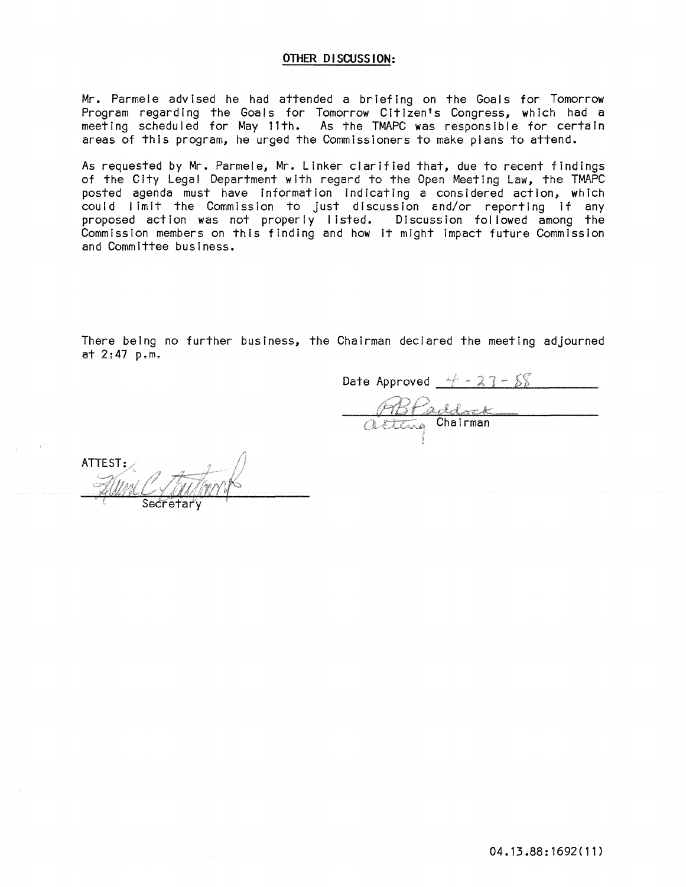## OTHER DISCUSS **ION:**

Mr. Parmele advised he had attended a briefing on the Goals for Tomorrow Program regarding the Goals for Tomorrow Citizen's Congress, which had a meeting scheduled for May 11th. As the TMAPC was responsible for certain areas of this program, he urged the Commissioners to make plans to attend.

As requested by Mr. Parmele, Mr. Linker clarified that, due to recent findings of the City Legal Department with regard to the Open Meeting Law, the TMAPC posted agenda must have information indicating a considered action, which could limit the Commission to Just discussion and/or reporting If any proposed action was not properly listed.  $\,$  Discussion followed among the  $\,$ Commission members on this finding and how It might Impact future Commission and Committee business.

There being no further business, the Chairman declared the meeting adjourned at 2:47 p.m.

Date Approved  $4 - 27 - 88$ RBPaddock

ATTEST: